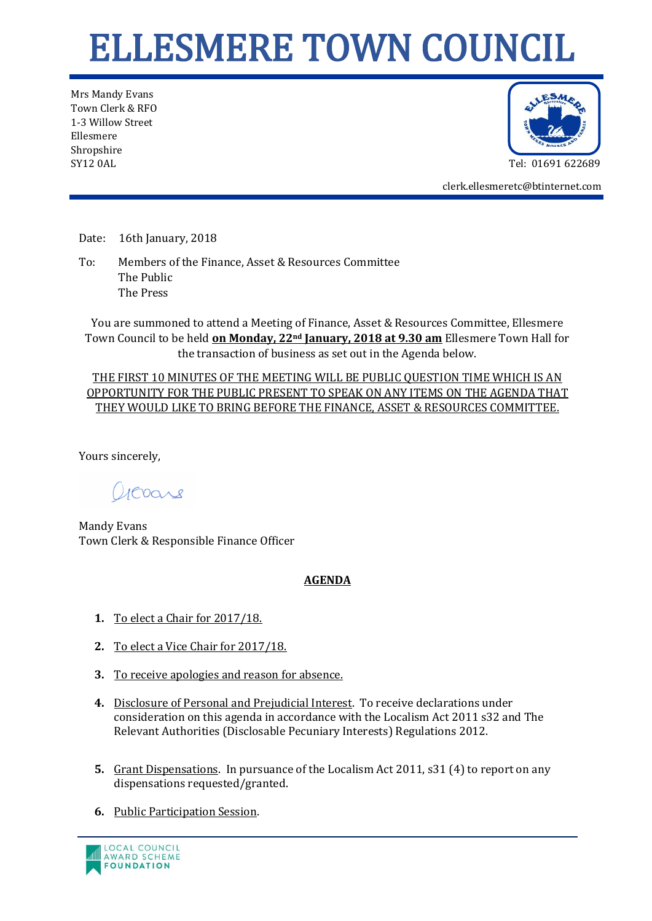## ELLESMERE TOWN COUNCIL

Mrs Mandy Evans Town Clerk & RFO 1-3 Willow Street Ellesmere Shropshire SY12 0AL Tel: 01691 622689



clerk.ellesmeretc@btinternet.com

Date: 16th January, 2018

To: Members of the Finance, Asset & Resources Committee The Public The Press

You are summoned to attend a Meeting of Finance, Asset & Resources Committee, Ellesmere Town Council to be held **on Monday, 22nd January, 2018 at 9.30 am** Ellesmere Town Hall for the transaction of business as set out in the Agenda below.

THE FIRST 10 MINUTES OF THE MEETING WILL BE PUBLIC QUESTION TIME WHICH IS AN OPPORTUNITY FOR THE PUBLIC PRESENT TO SPEAK ON ANY ITEMS ON THE AGENDA THAT THEY WOULD LIKE TO BRING BEFORE THE FINANCE, ASSET & RESOURCES COMMITTEE.

Yours sincerely,

acoare

Mandy Evans Town Clerk & Responsible Finance Officer

## **AGENDA**

- **1.** To elect a Chair for 2017/18.
- **2.** To elect a Vice Chair for 2017/18.
- **3.** To receive apologies and reason for absence.
- **4.** Disclosure of Personal and Prejudicial Interest. To receive declarations under consideration on this agenda in accordance with the Localism Act 2011 s32 and The Relevant Authorities (Disclosable Pecuniary Interests) Regulations 2012.
- **5.** Grant Dispensations. In pursuance of the Localism Act 2011, s31 (4) to report on any dispensations requested/granted.
- **6.** Public Participation Session.